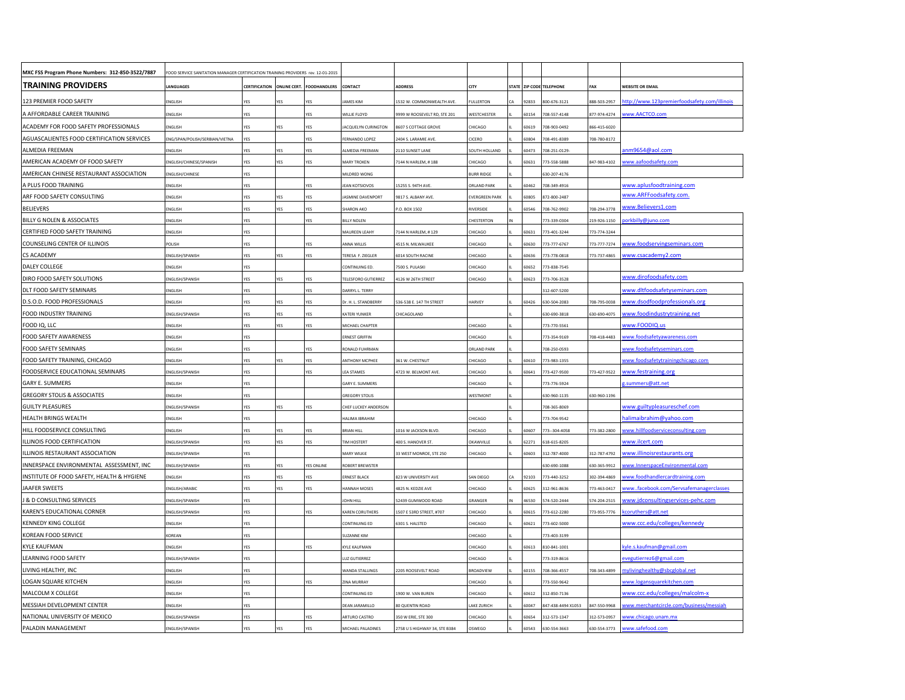| MXC FSS Program Phone Numbers: 312-850-3522/7887 | FOOD SERVICE SANITATION MANAGER CERTIFICATION TRAINING PROVIDERS rev. 12-01-2015 |                      |           |                                  |                               |                                |                      |       |                          |              |                                             |
|--------------------------------------------------|----------------------------------------------------------------------------------|----------------------|-----------|----------------------------------|-------------------------------|--------------------------------|----------------------|-------|--------------------------|--------------|---------------------------------------------|
| <b>TRAINING PROVIDERS</b>                        | LANGUAGES                                                                        | <b>CERTIFICATION</b> |           | <b>ONLINE CERT. FOODHANDLERS</b> | CONTACT                       | <b>ADDRESS</b>                 | CITY                 |       | STATE ZIP CODE TELEPHONE | FAX          | <b>WEBSITE OR EMAIL</b>                     |
| 123 PREMIER FOOD SAFETY                          | <b>ENGLISH</b>                                                                   |                      |           | <b>F۲</b>                        | AMES KIM                      | <b>532 W. COMMONWEALTH AVE</b> | <b>FULLERTON</b>     | 92833 | 800-676-3121             | 388-503-2957 | ttp://www.123premierfoodsafety.com/illinois |
| A AFFORDABLE CAREER TRAINING                     | <b>NGLISH</b>                                                                    | <b>/ES</b>           |           | <b>rES</b>                       | <b><i>NILLIE FLOYD</i></b>    | 999 W ROOSEVELT RD, STE 201    | WESTCHESTER          | 60154 | 708-557-4148             | 877-974-4274 | ww.AACTCO.com                               |
| ACADEMY FOR FOOD SAFETY PROFESSIONALS            | ENGLISH                                                                          | YES                  | ΈŚ.       | YES                              | ACQUELYN CURINGTON            | 607 S COTTAGE GROVE            | HICAGO               | 60619 | 08-903-0492              | 366-415-6020 |                                             |
| AGUASCALIENTES FOOD CERTIFICATION SERVICES       | ING/SPAN/POLISH/SERBIAN/VIETNA                                                   | YES                  |           | res                              | ERNANDO LOPEZ                 | 2404 S. LARAMIE AVE.           | CICERO               | 60804 | 08-491-8389              | 708-780-8172 |                                             |
| ALMEDIA FREEMAN                                  | <b>ENGLISH</b>                                                                   | YES                  | YES       | <b>YES</b>                       | <b>LLMEDIA FREEMAN</b>        | 110 SUNSET LANE                | <b>SOUTH HOLLAND</b> | 60473 | 708-251-0129             |              | nm9654@aol.com                              |
| AMERICAN ACADEMY OF FOOD SAFETY                  | NGLISH/CHINESE/SPANISH                                                           | YES                  | YES       | <b>YES</b>                       | <b>MARY TROKEN</b>            | 144 N HARLEM, #188             | <b>HICAGO</b>        | 60631 | 773-558-5888             | 847-983-4102 | vww.aafoodsafety.com                        |
| AMERICAN CHINESE RESTAURANT ASSOCIATION          | NGLISH/CHINESE                                                                   | YES                  |           |                                  | MILDRED WONG                  |                                | URR RIDGE            |       | 30-207-4176              |              |                                             |
| A PLUS FOOD TRAINING                             | NGLISH                                                                           | YES                  |           | <b>rES</b>                       | <b>EAN KOTSIOVOS</b>          | 5255 S. 94TH AVE.              | ORLAND PARK          | 60462 | 08-349-4916              |              | www.aplusfoodtraining.com                   |
| ARF FOOD SAFETY CONSULTING                       | <b>ENGLISH</b>                                                                   | YES                  | YES       | YES                              | <b>ASMINE DAVENPORT</b>       | 9817 S. ALBANY AVE.            | VERGREEN PARK        | 60805 | 872-800-2487             |              | www.ARFFoodsafety.com.                      |
| <b>BELIEVERS</b>                                 | <b>ENGLISH</b>                                                                   | YFS                  | YFς       | <b>YFS</b>                       | <b>SHARON AKC</b>             | 0. BOX 1502                    | RIVERSIDE            | 60546 | 08-762-9902              | 708-294-3778 | www.Believers1.com                          |
| BILLY G NOLEN & ASSOCIATES                       | <b>ENGLISH</b>                                                                   | <b>YFS</b>           |           | <b>YES</b>                       | <b>BILLY NOLEN</b>            |                                | <b>HESTERTON</b>     |       | 73-339-0304              | 219-926-1150 | orkbilly@juno.com                           |
| CERTIFIED FOOD SAFETY TRAINING                   | <b>ENGLISH</b>                                                                   | YES                  |           |                                  | MAUREEN LEAHY                 | 7144 N HARLEM, #129            | <b>HICAGO</b>        | 0631  | 73-401-3244              | 773-774-3244 |                                             |
| COUNSELING CENTER OF ILLINOIS                    | <b>POLISH</b>                                                                    | YES                  |           | <b>rES</b>                       | NNA WILLIS                    | 4515 N. MILWAUKEE              | <b>HICAGO</b>        | 60630 | 73-777-6767              | 773-777-7274 | ww.foodservingseminars.com                  |
| <b>CS ACADEMY</b>                                | <b>NGLISH/SPANISH</b>                                                            | YES                  | 'ES       | rES                              | TERESA F. ZIEGLER             | 6014 SOUTH RACINE              | <b>HICAGO</b>        | 60636 | 73-778-0818              | 773-737-4865 | ww.csacademy2.com                           |
| DALEY COLLEGE                                    | NGLISH                                                                           | ĖŚ                   |           |                                  | ONTINUING ED                  | 500 S. PULASKI                 | HICAGO               | 60652 | 773-838-7545             |              |                                             |
| DIRO FOOD SAFETY SOLUTIONS                       | <b>NGLISH/SPANISH</b>                                                            | YES                  |           | <b>rES</b>                       | ELESFORO GUTIERREZ            | 126 W 26TH STREET              | HICAGO               | 60623 | 773-706-3528             |              | www.dirofoodsafety.com                      |
| DLT FOOD SAFETY SEMINARS                         | <b>ENGLISH</b>                                                                   | <b>res</b>           |           | res                              | ARRYL L. TERRY                |                                |                      |       | 312-607-5200             |              | ww.dltfoodsafetyseminars.com                |
| D.S.O.D. FOOD PROFESSIONALS                      | <b>ENGLISH</b>                                                                   | YES                  | 'ES       | res                              | Or. H. L. STANDBERRY          | 36-538 E. 147 TH STREET        | <b>HARVEY</b>        | 60426 | 630-504-2083             | 08-795-0038  | www.dsodfoodprofessionals.org               |
| FOOD INDUSTRY TRAINING                           | <b>ENGLISH/SPANISH</b>                                                           | YES                  | YES       | <b>rES</b>                       | <b>CATERI YUNKER</b>          | <b>HICAGOLAND</b>              |                      |       | 30-690-3818              | 530-690-4075 | www.foodindustrytraining.net                |
| FOOD IQ, LLC                                     | <b>ENGLISH</b>                                                                   | YES                  | 'ES       | res                              | <b>MICHAEL CHAPTER</b>        |                                | <b>HICAGO</b>        |       | 73-770-5561              |              | ww.FOODIQ.us                                |
| FOOD SAFETY AWARENESS                            | <b>ENGLISH</b>                                                                   | <b>/ES</b>           |           |                                  | <b>RNEST GRIFFIN</b>          |                                | HICAGO               |       | 73-354-9169              | 708-418-4483 | ww.foodsafetyawareness.com                  |
| FOOD SAFETY SEMINARS                             | <b>ENGLISH</b>                                                                   | YES                  |           | rES                              | RONALD FUHRMAN                |                                | ORLAND PARK          |       | 708-250-0593             |              | vww.foodsafetyseminars.com                  |
| FOOD SAFETY TRAINING, CHICAGO                    | <b>NGLISH</b>                                                                    | YES                  | 'ES       | rES                              | <b>NTHONY MCPHEE</b>          | 361 W. CHESTNUT                | HICAGO               | 60610 | 773-983-1355             |              | ww.foodsafetytrainingchicago.com            |
| FOODSERVICE EDUCATIONAL SEMINARS                 | ENGLISH/SPANISH                                                                  | YES                  |           | <b>YES</b>                       | <b>LEA STAMES</b>             | 723 W. BELMONT AVE             | HICAGO               | 60641 | 773-427-9500             | 773-427-9522 | ww.festraining.org                          |
| <b>GARY E. SUMMERS</b>                           | <b>ENGLISH</b>                                                                   | YES                  |           |                                  | GARY E. SUMMERS               |                                | <b>HICAGO</b>        |       | 773-776-5924             |              | .summers@att.net                            |
| <b>GREGORY STOLIS &amp; ASSOCIATES</b>           | <b>NGLISH</b>                                                                    | YFS                  |           |                                  | <b>GREGORY STOLIS</b>         |                                | <b>NESTMONT</b>      |       | 630-960-1135             | 630-960-1196 |                                             |
| <b>GUILTY PLEASURES</b>                          | <b>ENGLISH/SPANISH</b>                                                           | YES                  | YES       | YES                              | CHEF LUCKEY ANDERSON          |                                |                      |       | 08-365-8069              |              | www.guiltypleasureschef.com                 |
| HEALTH BRINGS WEALTH                             | <b>ENGLISH</b>                                                                   | YES                  |           |                                  | <b>HALIMA IBRAHIM</b>         |                                | <b>HICAGO</b>        |       | 773-704-9542             |              | nalimaibrahim@yahoo.com                     |
| HILL FOODSERVICE CONSULTING                      | <b>ENGLISH</b>                                                                   | YES                  | <b>FS</b> | YΕS                              | <b>BRIAN HILL</b>             | 1016 W JACKSON BLVD            | <b>HICAGO</b>        | 50607 | 773-304-4058             | 773-382-2800 | ww.hillfoodserviceconsulting.com            |
| LLINOIS FOOD CERTIFICATION                       | NGLISH/SPANISH                                                                   | <b>FS</b>            | ۴Ś.       | <b>IFS</b>                       | <b>IM HOSTERT</b>             | 100 S. HANOVER ST              | KAWVILLE             | 6227: | 18-615-8205              |              | ww.ilcert.com                               |
| ILLINOIS RESTAURANT ASSOCIATION                  | <b>NGLISH/SPANISH</b>                                                            | YES                  |           |                                  | MARY WILKIE                   | 3 WEST MONROE, STE 250         | HICAGO               | 0603  | 312-787-4000             | 312-787-4792 | ww.illinoisrestaurants.org                  |
| INNERSPACE ENVIRONMENTAL ASSESSMENT, INC         | NGLISH/SPANISH                                                                   | <b>FES</b>           | 'ES       | <b><i>FES ONLINE</i></b>         | <b>OBERT BREWSTER</b>         |                                |                      |       | 30-690-1088              | 530-365-9912 | vw.InnerspaceEnvironmental.com              |
| INSTITUTE OF FOOD SAFETY, HEALTH & HYGIENE       | <b>NGLISH</b>                                                                    | YES                  | ΈS.       | rES                              | <b>RNEST BLACK</b>            | 823 W UNIVERSITY AVE           | SAN DIEGO            | 92103 | 773-440-3252             | 302-394-4869 | ww.foodhandlercardtraining.com              |
| <b>AAFER SWEETS</b>                              | NGLISH/ARABIC                                                                    | <b>FES</b>           | 'ES       | <b>rES</b>                       | <b>HANNAH MOSES</b>           | 825 N. KEDZIE AVE              | HICAGO               | 60625 | 312-961-8636             | 73-463-0417  | wfacebook.com/Servsafemanagerclasses        |
| & D CONSULTING SERVICES                          | <b>ENGLISH/SPANISH</b>                                                           | YES                  |           |                                  | <b>OHN HILL</b>               | 2439 GUMWOOD ROAD              | RANGER               | 16530 | 574-520-2444             | 74-204-2515  | ww.jdconsultingservices-pehc.com            |
| KAREN'S EDUCATIONAL CORNER                       | <b>ENGLISH/SPANISH</b>                                                           | <b>FES</b>           |           | <b>IFS</b>                       | <b>CAREN CORUTHERS</b>        | 507 E 53RD STREET, #707        | <b>HICAGO</b>        | 60615 | 773-612-2280             | 773-955-7776 | oruthers@att.net                            |
| <b>KENNEDY KING COLLEGE</b>                      | <b>ENGLISH</b>                                                                   | YES                  |           |                                  | CONTINUING ED                 | 301 S. HALSTED                 | <b>HICAGO</b>        | 60621 | 773-602-5000             |              | www.ccc.edu/colleges/kennedy                |
| KOREAN FOOD SERVICE                              | CORFAN                                                                           | YFS                  |           |                                  | <b>UZANNE KIM</b>             |                                | <b>HICAGO</b>        |       | 73-403-3199              |              |                                             |
| <b>KYLE KAUFMAN</b>                              | <b>ENGLISH</b>                                                                   | YES                  |           | <b>rES</b>                       | YLE KAUFMAN                   |                                | <b>HICAGO</b>        | 60613 | 810-841-1001             |              | yle.s.kaufman@gmail.com                     |
| LEARNING FOOD SAFETY                             | <b>NGLISH/SPANISH</b>                                                            | YES                  |           |                                  | UZ GUTIERREZ                  |                                | HICAGO               |       | 73-319-8616              |              | regutierrez6@gmail.com                      |
| LIVING HEALTHY, INC                              | <b>NGLISH</b>                                                                    | YES                  |           |                                  | <b><i>NANDA STALLINGS</i></b> | 205 ROOSEVELT ROAD             | BROADVIEW            | 60155 | 708-366-4557             | 708-343-4899 | nylivinghealthy@sbcglobal.net               |
| LOGAN SQUARE KITCHEN                             | <b>ENGLISH</b>                                                                   | YES                  |           | <b>rES</b>                       | <b>INA MURRAY</b>             |                                | HICAGO               |       | 73-550-9642              |              | ww.logansquarekitchen.com                   |
| MALCOLM X COLLEGE                                | <b>ENGLISH</b>                                                                   | YES                  |           |                                  | CONTINUING ED                 | 1900 W. VAN BUREN              | <b>HICAGO</b>        | 60612 | 312-850-7136             |              | www.ccc.edu/colleges/malcolm-x              |
| MESSIAH DEVELOPMENT CENTER                       | <b>ENGLISH</b>                                                                   | YFS                  |           |                                  | DEAN JARAMILLO                | <b>30 QUENTIN ROAD</b>         | <b>AKE ZURICH</b>    | 60047 | 847-438-4494 X1053       | 847-550-9968 | ww.merchantcircle.com/business/messiah      |
| NATIONAL UNIVERSITY OF MEXICO                    | <b>ENGLISH/SPANISH</b>                                                           | YFS                  |           | YΕS                              | ARTURO CASTRO                 | 50 W ERIE, STE 300             | HICAGO               | 60654 | 312-573-1347             | 312-573-0957 | vww.chicago.unam.mx                         |
| PALADIN MANAGEMENT                               | ENGLISH/SPANISH                                                                  | YES                  | YES       | YES                              | MICHAEL PALADINES             | 2758 U S HIGHWAY 34, STE B384  | OSWEGO               | 60543 | 630-554-3663             | 630-554-3773 | www.safefood.com                            |